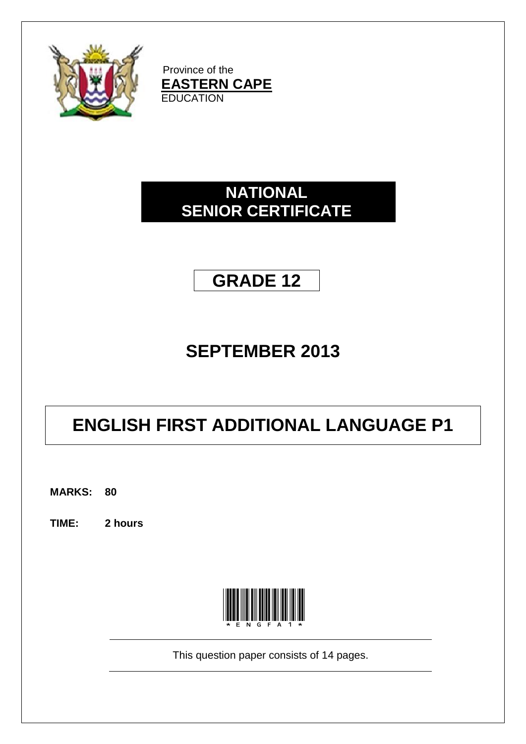

Province of the **EASTERN CAPE EDUCATION** 

# **NATIONAL SENIOR CERTIFICATE**



# **SEPTEMBER 2013**

# **ENGLISH FIRST ADDITIONAL LANGUAGE P1**

**MARKS: 80**

**TIME: 2 hours**



This question paper consists of 14 pages.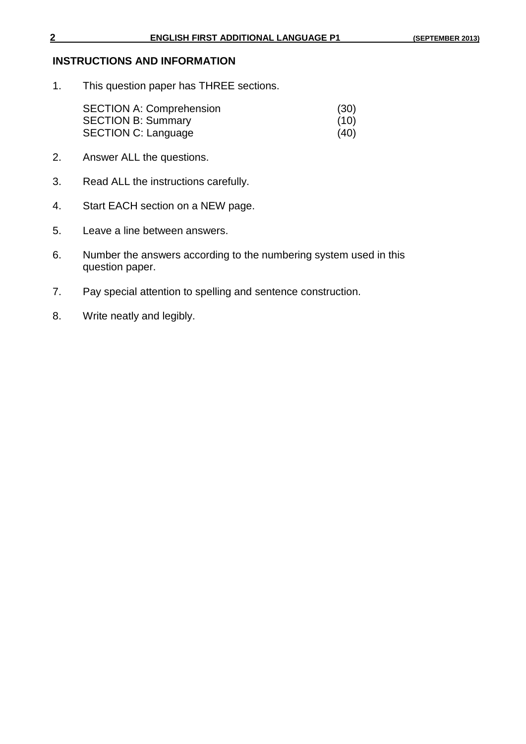#### **INSTRUCTIONS AND INFORMATION**

1. This question paper has THREE sections.

| <b>SECTION A: Comprehension</b> | (30) |
|---------------------------------|------|
| <b>SECTION B: Summary</b>       | (10) |
| <b>SECTION C: Language</b>      | (40) |

- 2. Answer ALL the questions.
- 3. Read ALL the instructions carefully.
- 4. Start EACH section on a NEW page.
- 5. Leave a line between answers.
- 6. Number the answers according to the numbering system used in this question paper.
- 7. Pay special attention to spelling and sentence construction.
- 8. Write neatly and legibly.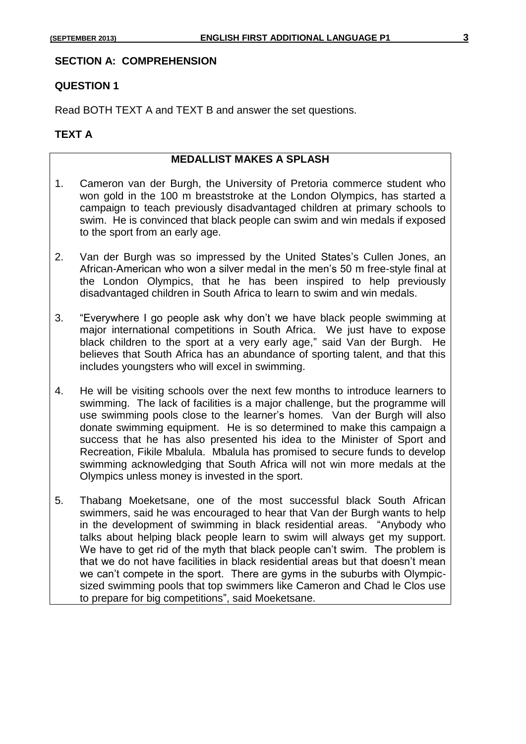#### **SECTION A: COMPREHENSION**

#### **QUESTION 1**

Read BOTH TEXT A and TEXT B and answer the set questions.

#### **TEXT A**

#### **MEDALLIST MAKES A SPLASH**

- 1. Cameron van der Burgh, the University of Pretoria commerce student who won gold in the 100 m breaststroke at the London Olympics, has started a campaign to teach previously disadvantaged children at primary schools to swim. He is convinced that black people can swim and win medals if exposed to the sport from an early age.
- 2. Van der Burgh was so impressed by the United States's Cullen Jones, an African-American who won a silver medal in the men's 50 m free-style final at the London Olympics, that he has been inspired to help previously disadvantaged children in South Africa to learn to swim and win medals.
- 3. "Everywhere I go people ask why don't we have black people swimming at major international competitions in South Africa. We just have to expose black children to the sport at a very early age," said Van der Burgh. He believes that South Africa has an abundance of sporting talent, and that this includes youngsters who will excel in swimming.
- 4. He will be visiting schools over the next few months to introduce learners to swimming. The lack of facilities is a major challenge, but the programme will use swimming pools close to the learner's homes. Van der Burgh will also donate swimming equipment. He is so determined to make this campaign a success that he has also presented his idea to the Minister of Sport and Recreation, Fikile Mbalula. Mbalula has promised to secure funds to develop swimming acknowledging that South Africa will not win more medals at the Olympics unless money is invested in the sport.
- 5. Thabang Moeketsane, one of the most successful black South African swimmers, said he was encouraged to hear that Van der Burgh wants to help in the development of swimming in black residential areas. "Anybody who talks about helping black people learn to swim will always get my support. We have to get rid of the myth that black people can't swim. The problem is that we do not have facilities in black residential areas but that doesn't mean we can't compete in the sport. There are gyms in the suburbs with Olympicsized swimming pools that top swimmers like Cameron and Chad le Clos use to prepare for big competitions", said Moeketsane.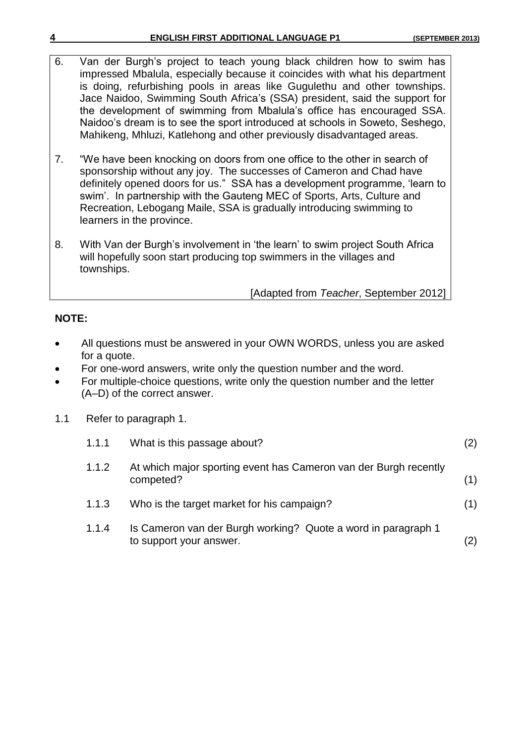| <b>ENGLISH FIRST ADDITIONAL LANGUAGE P1</b> | (SEPTEMBER 2013) |
|---------------------------------------------|------------------|
|---------------------------------------------|------------------|

- 6. Van der Burgh's project to teach young black children how to swim has impressed Mbalula, especially because it coincides with what his department is doing, refurbishing pools in areas like Gugulethu and other townships. Jace Naidoo, Swimming South Africa's (SSA) president, said the support for the development of swimming from Mbalula's office has encouraged SSA. Naidoo's dream is to see the sport introduced at schools in Soweto, Seshego, Mahikeng, Mhluzi, Katlehong and other previously disadvantaged areas.
- 7. "We have been knocking on doors from one office to the other in search of sponsorship without any joy. The successes of Cameron and Chad have definitely opened doors for us." SSA has a development programme, 'learn to swim'. In partnership with the Gauteng MEC of Sports, Arts, Culture and Recreation, Lebogang Maile, SSA is gradually introducing swimming to learners in the province.
- 8. With Van der Burgh's involvement in 'the learn' to swim project South Africa will hopefully soon start producing top swimmers in the villages and townships.

[Adapted from *Teacher*, September 2012]

#### **NOTE:**

- All questions must be answered in your OWN WORDS, unless you are asked for a quote.
- For one-word answers, write only the question number and the word.
- For multiple-choice questions, write only the question number and the letter (A–D) of the correct answer.
- 1.1 Refer to paragraph 1.

| 1.1.1 | What is this passage about?                                                              | (2) |
|-------|------------------------------------------------------------------------------------------|-----|
| 1.1.2 | At which major sporting event has Cameron van der Burgh recently<br>competed?            |     |
| 1.1.3 | Who is the target market for his campaign?                                               | (1) |
| 1.1.4 | Is Cameron van der Burgh working? Quote a word in paragraph 1<br>to support your answer. | (2) |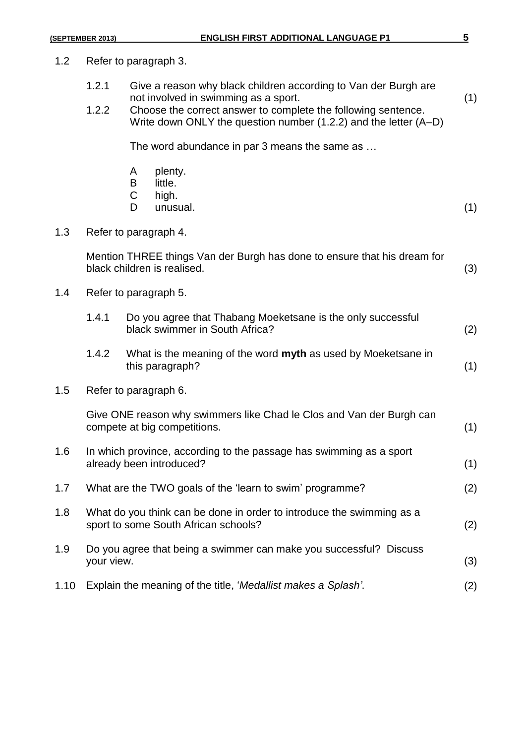1.2 Refer to paragraph 3. 1.2.1 Give a reason why black children according to Van der Burgh are not involved in swimming as a sport. (1) 1.2.2 Choose the correct answer to complete the following sentence. Write down ONLY the question number (1.2.2) and the letter (A–D) The word abundance in par 3 means the same as … A plenty. B little. C high. D unusual. (1) 1.3 Refer to paragraph 4. Mention THREE things Van der Burgh has done to ensure that his dream for black children is realised. (3) 1.4 Refer to paragraph 5. 1.4.1 Do you agree that Thabang Moeketsane is the only successful black swimmer in South Africa? (2) 1.4.2 What is the meaning of the word **myth** as used by Moeketsane in this paragraph? (1) 1.5 Refer to paragraph 6. Give ONE reason why swimmers like Chad le Clos and Van der Burgh can compete at big competitions. (1) 1.6 In which province, according to the passage has swimming as a sport already been introduced? (1) 1.7 What are the TWO goals of the 'learn to swim' programme? (2) 1.8 What do you think can be done in order to introduce the swimming as a sport to some South African schools? (2) 1.9 Do you agree that being a swimmer can make you successful? Discuss your view. (3) 1.10 Explain the meaning of the title, '*Medallist makes a Splash'*. (2)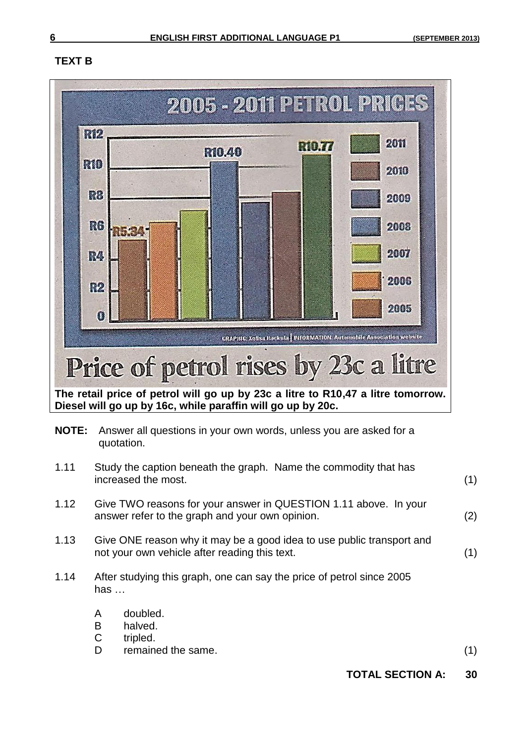#### **TEXT B**



- **NOTE:** Answer all questions in your own words, unless you are asked for a quotation.
- 1.11 Study the caption beneath the graph. Name the commodity that has increased the most. (1)
- 1.12 Give TWO reasons for your answer in QUESTION 1.11 above. In your answer refer to the graph and your own opinion. (2)
- 1.13 Give ONE reason why it may be a good idea to use public transport and not your own vehicle after reading this text. (1)
- 1.14 After studying this graph, one can say the price of petrol since 2005 has …
	- A doubled.
	- B halved.
	- C tripled.
	- D remained the same. (1)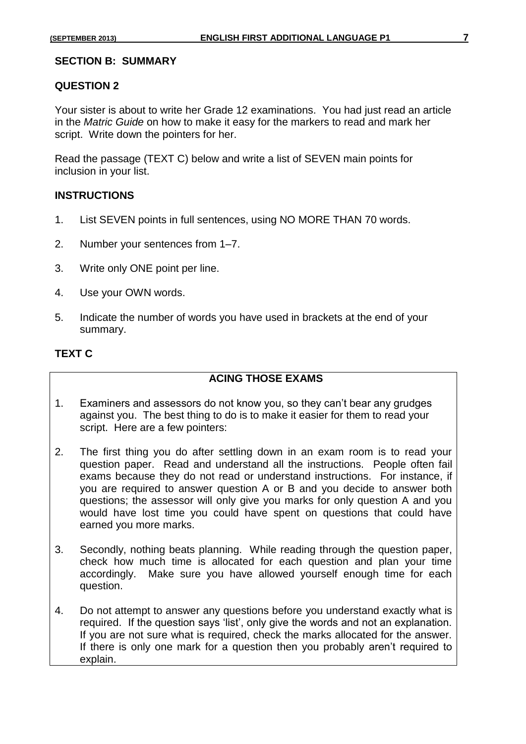#### **SECTION B: SUMMARY**

#### **QUESTION 2**

Your sister is about to write her Grade 12 examinations. You had just read an article in the *Matric Guide* on how to make it easy for the markers to read and mark her script. Write down the pointers for her.

Read the passage (TEXT C) below and write a list of SEVEN main points for inclusion in your list.

#### **INSTRUCTIONS**

- 1. List SEVEN points in full sentences, using NO MORE THAN 70 words.
- 2. Number your sentences from 1–7.
- 3. Write only ONE point per line.
- 4. Use your OWN words.
- 5. Indicate the number of words you have used in brackets at the end of your summary.

#### **TEXT C**

#### **ACING THOSE EXAMS**

- 1. Examiners and assessors do not know you, so they can't bear any grudges against you. The best thing to do is to make it easier for them to read your script. Here are a few pointers:
- 2. The first thing you do after settling down in an exam room is to read your question paper. Read and understand all the instructions. People often fail exams because they do not read or understand instructions. For instance, if you are required to answer question A or B and you decide to answer both questions; the assessor will only give you marks for only question A and you would have lost time you could have spent on questions that could have earned you more marks.
- 3. Secondly, nothing beats planning. While reading through the question paper, check how much time is allocated for each question and plan your time accordingly. Make sure you have allowed yourself enough time for each question.
- 4. Do not attempt to answer any questions before you understand exactly what is required. If the question says 'list', only give the words and not an explanation. If you are not sure what is required, check the marks allocated for the answer. If there is only one mark for a question then you probably aren't required to explain.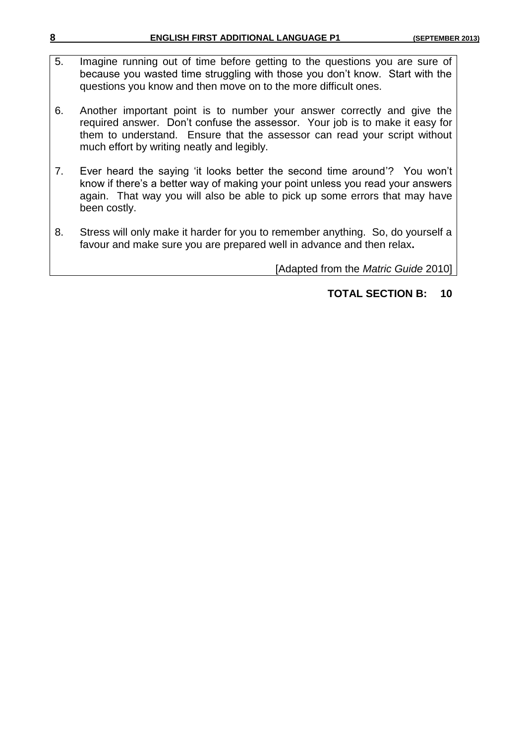- 5. Imagine running out of time before getting to the questions you are sure of because you wasted time struggling with those you don't know. Start with the questions you know and then move on to the more difficult ones.
- 6. Another important point is to number your answer correctly and give the required answer. Don't confuse the assessor. Your job is to make it easy for them to understand. Ensure that the assessor can read your script without much effort by writing neatly and legibly.
- 7. Ever heard the saying 'it looks better the second time around'? You won't know if there's a better way of making your point unless you read your answers again. That way you will also be able to pick up some errors that may have been costly.
- 8. Stress will only make it harder for you to remember anything. So, do yourself a favour and make sure you are prepared well in advance and then relax**.**

[Adapted from the *Matric Guide* 2010]

### **TOTAL SECTION B: 10**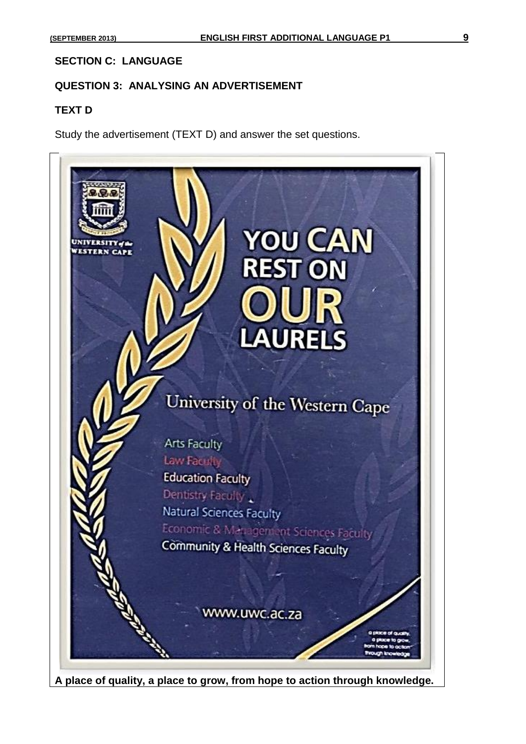#### **SECTION C: LANGUAGE**

#### **QUESTION 3: ANALYSING AN ADVERTISEMENT**

#### **TEXT D**

Study the advertisement (TEXT D) and answer the set questions.



**A place of quality, a place to grow, from hope to action through knowledge.**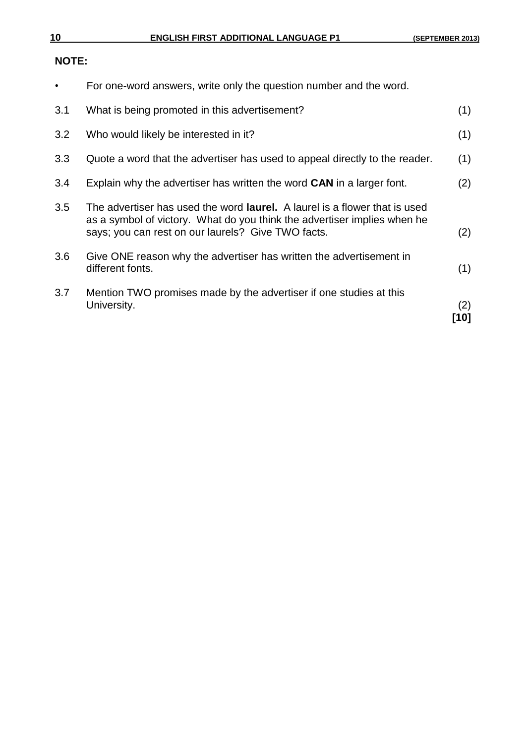# **NOTE:**

|     | For one-word answers, write only the question number and the word.                                                                                                                                                  |             |
|-----|---------------------------------------------------------------------------------------------------------------------------------------------------------------------------------------------------------------------|-------------|
| 3.1 | What is being promoted in this advertisement?                                                                                                                                                                       | (1)         |
| 3.2 | Who would likely be interested in it?                                                                                                                                                                               | (1)         |
| 3.3 | Quote a word that the advertiser has used to appeal directly to the reader.                                                                                                                                         | (1)         |
| 3.4 | Explain why the advertiser has written the word <b>CAN</b> in a larger font.                                                                                                                                        | (2)         |
| 3.5 | The advertiser has used the word <b>laurel.</b> A laurel is a flower that is used<br>as a symbol of victory. What do you think the advertiser implies when he<br>says; you can rest on our laurels? Give TWO facts. | (2)         |
| 3.6 | Give ONE reason why the advertiser has written the advertisement in<br>different fonts.                                                                                                                             | (1)         |
| 3.7 | Mention TWO promises made by the advertiser if one studies at this<br>University.                                                                                                                                   | (2)<br>[10] |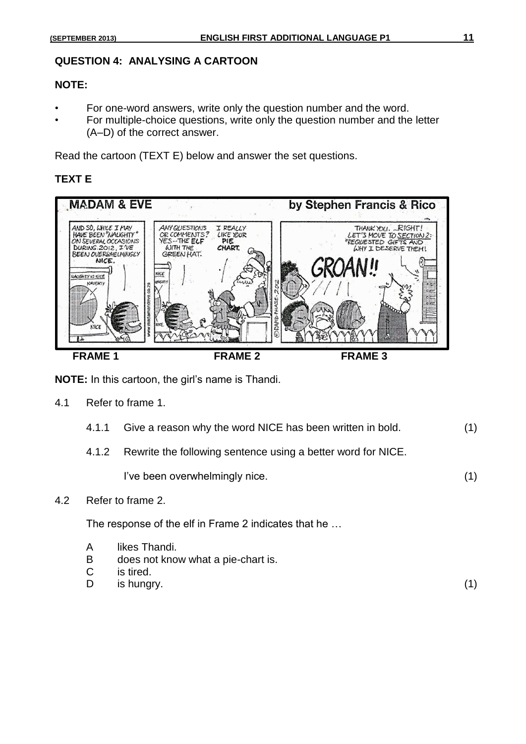#### **QUESTION 4: ANALYSING A CARTOON**

#### **NOTE:**

- For one-word answers, write only the question number and the word.
- For multiple-choice questions, write only the question number and the letter (A–D) of the correct answer.

Read the cartoon (TEXT E) below and answer the set questions.

## **TEXT E**



**NOTE:** In this cartoon, the girl's name is Thandi.

- 4.1 Refer to frame 1.
	- 4.1.1 Give a reason why the word NICE has been written in bold. (1)
	- 4.1.2 Rewrite the following sentence using a better word for NICE.

I've been overwhelmingly nice. (1)

4.2 Refer to frame 2.

The response of the elf in Frame 2 indicates that he …

- A likes Thandi.
- B does not know what a pie-chart is.
- C is tired.
- D is hungry. (1)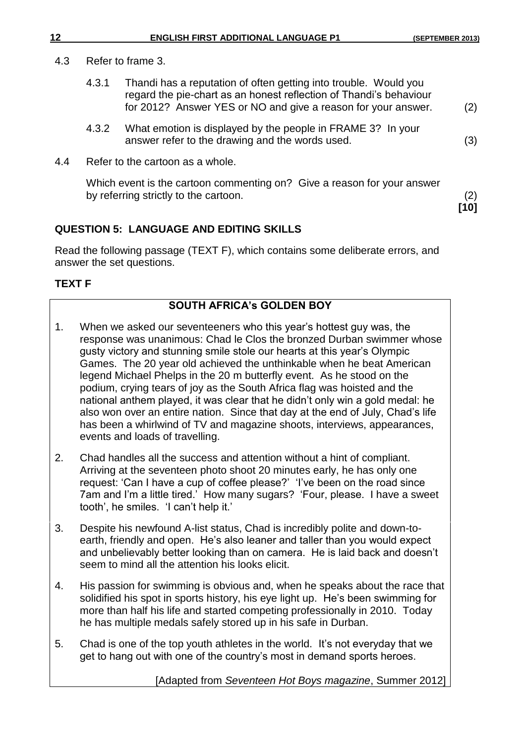**[10]**

- 4.3 Refer to frame 3.
	- 4.3.1 Thandi has a reputation of often getting into trouble. Would you regard the pie-chart as an honest reflection of Thandi's behaviour for 2012? Answer YES or NO and give a reason for your answer. (2)
	- 4.3.2 What emotion is displayed by the people in FRAME 3? In your answer refer to the drawing and the words used. (3)
- 4.4 Refer to the cartoon as a whole.

Which event is the cartoon commenting on? Give a reason for your answer by referring strictly to the cartoon. (2)

# **QUESTION 5: LANGUAGE AND EDITING SKILLS**

Read the following passage (TEXT F), which contains some deliberate errors, and answer the set questions.

# **TEXT F**

# **SOUTH AFRICA's GOLDEN BOY**

- 1. When we asked our seventeeners who this year's hottest guy was, the response was unanimous: Chad le Clos the bronzed Durban swimmer whose gusty victory and stunning smile stole our hearts at this year's Olympic Games. The 20 year old achieved the unthinkable when he beat American legend Michael Phelps in the 20 m butterfly event. As he stood on the podium, crying tears of joy as the South Africa flag was hoisted and the national anthem played, it was clear that he didn't only win a gold medal: he also won over an entire nation. Since that day at the end of July, Chad's life has been a whirlwind of TV and magazine shoots, interviews, appearances, events and loads of travelling.
- 2. Chad handles all the success and attention without a hint of compliant. Arriving at the seventeen photo shoot 20 minutes early, he has only one request: 'Can I have a cup of coffee please?' 'I've been on the road since 7am and I'm a little tired.' How many sugars? 'Four, please. I have a sweet tooth', he smiles. 'I can't help it.'
- 3. Despite his newfound A-list status, Chad is incredibly polite and down-toearth, friendly and open. He's also leaner and taller than you would expect and unbelievably better looking than on camera. He is laid back and doesn't seem to mind all the attention his looks elicit.
- 4. His passion for swimming is obvious and, when he speaks about the race that solidified his spot in sports history, his eye light up. He's been swimming for more than half his life and started competing professionally in 2010. Today he has multiple medals safely stored up in his safe in Durban.
- 5. Chad is one of the top youth athletes in the world. It's not everyday that we get to hang out with one of the country's most in demand sports heroes.

[Adapted from *Seventeen Hot Boys magazine*, Summer 2012]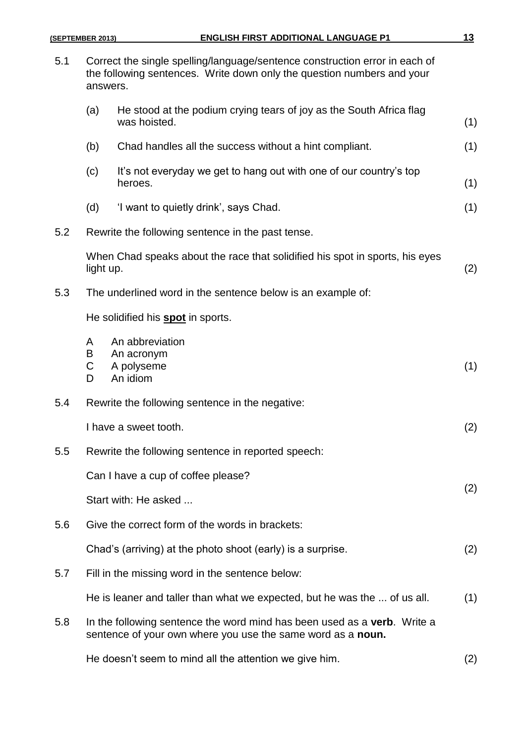| 5.1 | Correct the single spelling/language/sentence construction error in each of<br>the following sentences. Write down only the question numbers and your<br>answers. |                                                                                                                                                 |     |  |
|-----|-------------------------------------------------------------------------------------------------------------------------------------------------------------------|-------------------------------------------------------------------------------------------------------------------------------------------------|-----|--|
|     | (a)                                                                                                                                                               | He stood at the podium crying tears of joy as the South Africa flag<br>was hoisted.                                                             | (1) |  |
|     | (b)                                                                                                                                                               | Chad handles all the success without a hint compliant.                                                                                          | (1) |  |
|     | (c)                                                                                                                                                               | It's not everyday we get to hang out with one of our country's top<br>heroes.                                                                   | (1) |  |
|     | (d)                                                                                                                                                               | 'I want to quietly drink', says Chad.                                                                                                           | (1) |  |
| 5.2 |                                                                                                                                                                   | Rewrite the following sentence in the past tense.                                                                                               |     |  |
|     | light up.                                                                                                                                                         | When Chad speaks about the race that solidified his spot in sports, his eyes                                                                    | (2) |  |
| 5.3 |                                                                                                                                                                   | The underlined word in the sentence below is an example of:                                                                                     |     |  |
|     |                                                                                                                                                                   | He solidified his <b>spot</b> in sports.                                                                                                        |     |  |
|     | A<br>B<br>C<br>D                                                                                                                                                  | An abbreviation<br>An acronym<br>A polyseme<br>An idiom                                                                                         | (1) |  |
| 5.4 |                                                                                                                                                                   | Rewrite the following sentence in the negative:                                                                                                 |     |  |
|     |                                                                                                                                                                   | I have a sweet tooth.                                                                                                                           | (2) |  |
| 5.5 |                                                                                                                                                                   | Rewrite the following sentence in reported speech:                                                                                              |     |  |
|     |                                                                                                                                                                   | Can I have a cup of coffee please?                                                                                                              | (2) |  |
|     | Start with: He asked                                                                                                                                              |                                                                                                                                                 |     |  |
| 5.6 |                                                                                                                                                                   | Give the correct form of the words in brackets:                                                                                                 |     |  |
|     | Chad's (arriving) at the photo shoot (early) is a surprise.                                                                                                       |                                                                                                                                                 | (2) |  |
| 5.7 |                                                                                                                                                                   | Fill in the missing word in the sentence below:                                                                                                 |     |  |
|     |                                                                                                                                                                   | He is leaner and taller than what we expected, but he was the  of us all.                                                                       | (1) |  |
| 5.8 |                                                                                                                                                                   | In the following sentence the word mind has been used as a <b>verb</b> . Write a<br>sentence of your own where you use the same word as a noun. |     |  |
|     |                                                                                                                                                                   | He doesn't seem to mind all the attention we give him.                                                                                          | (2) |  |